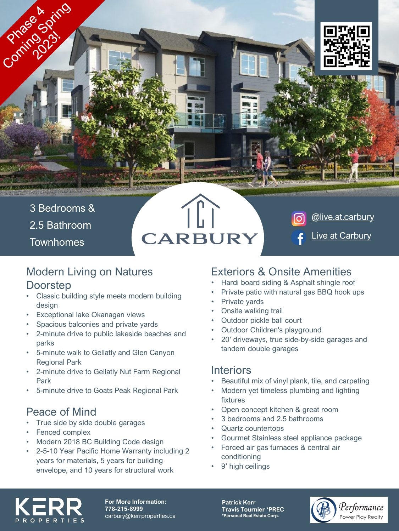

[@live.at.carbury](https://www.instagram.com/live.at.carbury/)

[Live at Carbury](https://www.facebook.com/live.at.carbury)

3 Bedrooms &

Comment of Miles

2.5 Bathroom

**Townhomes** 

# **CARBURY**

#### Modern Living on Natures **Doorstep**

- Classic building style meets modern building design
- Exceptional lake Okanagan views
- Spacious balconies and private yards
- 2-minute drive to public lakeside beaches and parks
- 5-minute walk to Gellatly and Glen Canyon Regional Park
- 2-minute drive to Gellatly Nut Farm Regional Park
- 5-minute drive to Goats Peak Regional Park

## Peace of Mind

- True side by side double garages
- Fenced complex
- Modern 2018 BC Building Code design
- 2-5-10 Year Pacific Home Warranty including 2 years for materials, 5 years for building envelope, and 10 years for structural work

## Exteriors & Onsite Amenities

- Hardi board siding & Asphalt shingle roof
- Private patio with natural gas BBQ hook ups
- Private yards
- Onsite walking trail
- Outdoor pickle ball court
- Outdoor Children's playground
- 20' driveways, true side-by-side garages and tandem double garages

#### **Interiors**

- Beautiful mix of vinyl plank, tile, and carpeting
- Modern yet timeless plumbing and lighting fixtures
- Open concept kitchen & great room
- 3 bedrooms and 2.5 bathrooms
- Quartz countertops
- Gourmet Stainless steel appliance package
- Forced air gas furnaces & central air conditioning
- 9' high ceilings



**For More Information: 778-215-8999** carbury@kerrproperties.ca **Patrick Kerr Travis Tournier \*PREC \*Personal Real Estate Corp.**